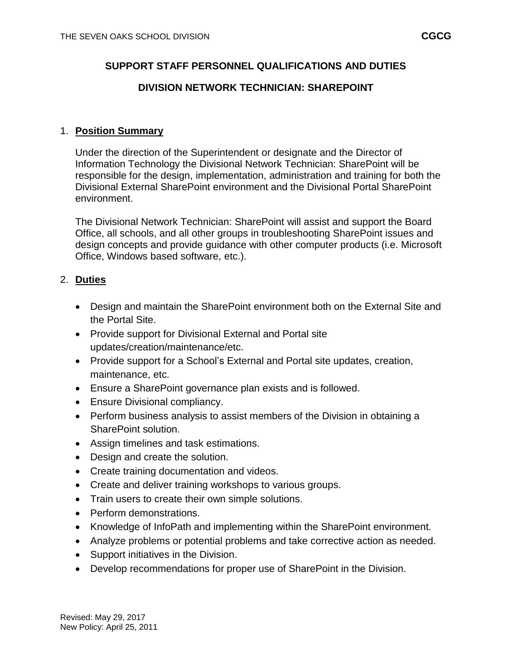### **SUPPORT STAFF PERSONNEL QUALIFICATIONS AND DUTIES**

### **DIVISION NETWORK TECHNICIAN: SHAREPOINT**

#### 1. **Position Summary**

Under the direction of the Superintendent or designate and the Director of Information Technology the Divisional Network Technician: SharePoint will be responsible for the design, implementation, administration and training for both the Divisional External SharePoint environment and the Divisional Portal SharePoint environment.

The Divisional Network Technician: SharePoint will assist and support the Board Office, all schools, and all other groups in troubleshooting SharePoint issues and design concepts and provide guidance with other computer products (i.e. Microsoft Office, Windows based software, etc.).

#### 2. **Duties**

- Design and maintain the SharePoint environment both on the External Site and the Portal Site.
- Provide support for Divisional External and Portal site updates/creation/maintenance/etc.
- Provide support for a School's External and Portal site updates, creation, maintenance, etc.
- Ensure a SharePoint governance plan exists and is followed.
- Ensure Divisional compliancy.
- Perform business analysis to assist members of the Division in obtaining a SharePoint solution.
- Assign timelines and task estimations.
- Design and create the solution.
- Create training documentation and videos.
- Create and deliver training workshops to various groups.
- Train users to create their own simple solutions.
- Perform demonstrations.
- Knowledge of InfoPath and implementing within the SharePoint environment.
- Analyze problems or potential problems and take corrective action as needed.
- Support initiatives in the Division.
- Develop recommendations for proper use of SharePoint in the Division.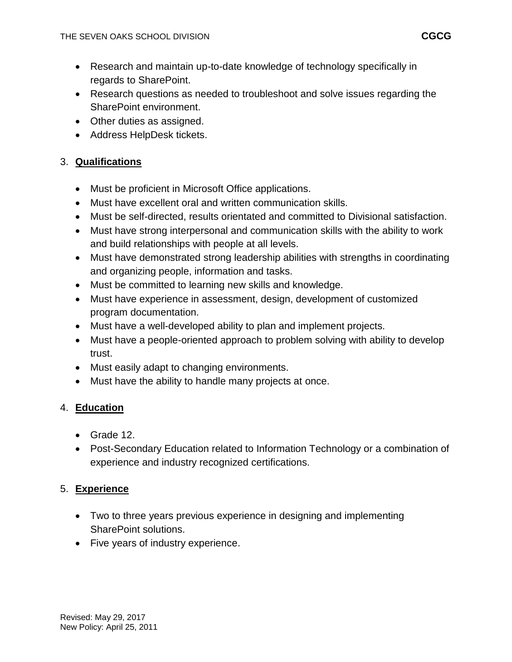- Research and maintain up-to-date knowledge of technology specifically in regards to SharePoint.
- Research questions as needed to troubleshoot and solve issues regarding the SharePoint environment.
- Other duties as assigned.
- Address HelpDesk tickets.

# 3. **Qualifications**

- Must be proficient in Microsoft Office applications.
- Must have excellent oral and written communication skills.
- Must be self-directed, results orientated and committed to Divisional satisfaction.
- Must have strong interpersonal and communication skills with the ability to work and build relationships with people at all levels.
- Must have demonstrated strong leadership abilities with strengths in coordinating and organizing people, information and tasks.
- Must be committed to learning new skills and knowledge.
- Must have experience in assessment, design, development of customized program documentation.
- Must have a well-developed ability to plan and implement projects.
- Must have a people-oriented approach to problem solving with ability to develop trust.
- Must easily adapt to changing environments.
- Must have the ability to handle many projects at once.

## 4. **Education**

- Grade 12.
- Post-Secondary Education related to Information Technology or a combination of experience and industry recognized certifications.

# 5. **Experience**

- Two to three years previous experience in designing and implementing SharePoint solutions.
- Five years of industry experience.